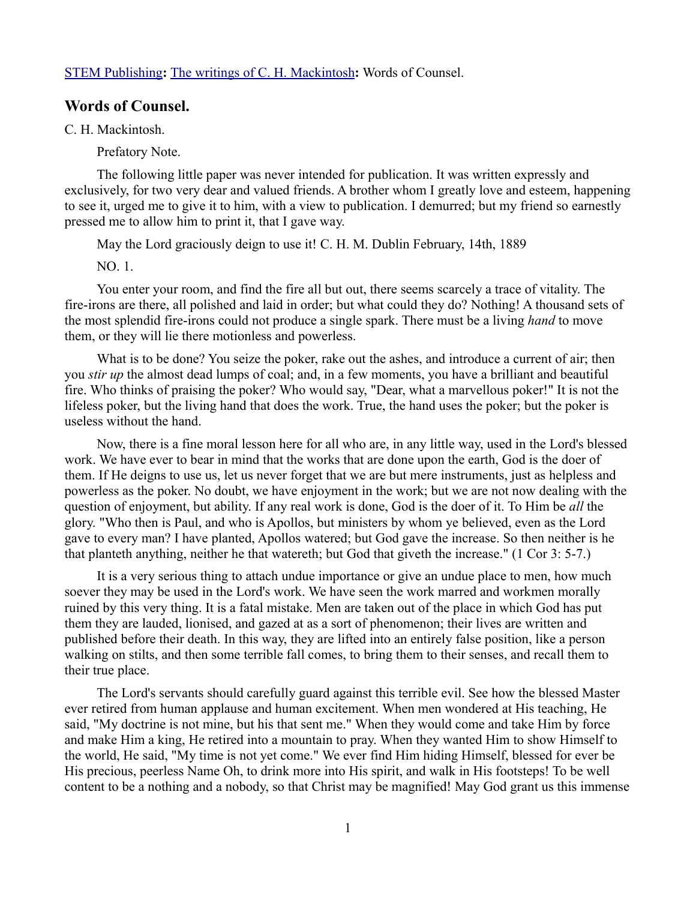## [STEM Publishing](http://www.stempublishing.com/)**:** [The writings of C. H. Mackintosh](http://www.stempublishing.com/authors/mackintosh/index.html)**:** Words of Counsel.

## **Words of Counsel.**

C. H. Mackintosh.

Prefatory Note.

The following little paper was never intended for publication. It was written expressly and exclusively, for two very dear and valued friends. A brother whom I greatly love and esteem, happening to see it, urged me to give it to him, with a view to publication. I demurred; but my friend so earnestly pressed me to allow him to print it, that I gave way.

May the Lord graciously deign to use it! C. H. M. Dublin February, 14th, 1889

NO. 1.

You enter your room, and find the fire all but out, there seems scarcely a trace of vitality. The fire-irons are there, all polished and laid in order; but what could they do? Nothing! A thousand sets of the most splendid fire-irons could not produce a single spark. There must be a living *hand* to move them, or they will lie there motionless and powerless.

What is to be done? You seize the poker, rake out the ashes, and introduce a current of air; then you *stir up* the almost dead lumps of coal; and, in a few moments, you have a brilliant and beautiful fire. Who thinks of praising the poker? Who would say, "Dear, what a marvellous poker!" It is not the lifeless poker, but the living hand that does the work. True, the hand uses the poker; but the poker is useless without the hand.

Now, there is a fine moral lesson here for all who are, in any little way, used in the Lord's blessed work. We have ever to bear in mind that the works that are done upon the earth, God is the doer of them. If He deigns to use us, let us never forget that we are but mere instruments, just as helpless and powerless as the poker. No doubt, we have enjoyment in the work; but we are not now dealing with the question of enjoyment, but ability. If any real work is done, God is the doer of it. To Him be *all* the glory. "Who then is Paul, and who is Apollos, but ministers by whom ye believed, even as the Lord gave to every man? I have planted, Apollos watered; but God gave the increase. So then neither is he that planteth anything, neither he that watereth; but God that giveth the increase." (1 Cor 3: 5-7.)

It is a very serious thing to attach undue importance or give an undue place to men, how much soever they may be used in the Lord's work. We have seen the work marred and workmen morally ruined by this very thing. It is a fatal mistake. Men are taken out of the place in which God has put them they are lauded, lionised, and gazed at as a sort of phenomenon; their lives are written and published before their death. In this way, they are lifted into an entirely false position, like a person walking on stilts, and then some terrible fall comes, to bring them to their senses, and recall them to their true place.

The Lord's servants should carefully guard against this terrible evil. See how the blessed Master ever retired from human applause and human excitement. When men wondered at His teaching, He said, "My doctrine is not mine, but his that sent me." When they would come and take Him by force and make Him a king, He retired into a mountain to pray. When they wanted Him to show Himself to the world, He said, "My time is not yet come." We ever find Him hiding Himself, blessed for ever be His precious, peerless Name Oh, to drink more into His spirit, and walk in His footsteps! To be well content to be a nothing and a nobody, so that Christ may be magnified! May God grant us this immense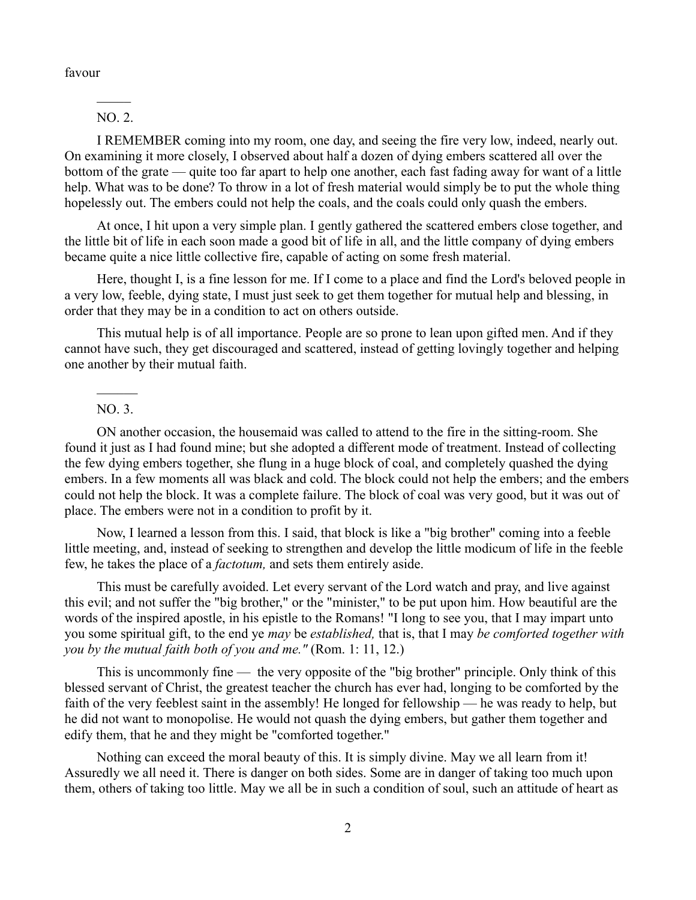favour

 $\mathcal{L}$ NO. 2.

I REMEMBER coming into my room, one day, and seeing the fire very low, indeed, nearly out. On examining it more closely, I observed about half a dozen of dying embers scattered all over the bottom of the grate — quite too far apart to help one another, each fast fading away for want of a little help. What was to be done? To throw in a lot of fresh material would simply be to put the whole thing hopelessly out. The embers could not help the coals, and the coals could only quash the embers.

At once, I hit upon a very simple plan. I gently gathered the scattered embers close together, and the little bit of life in each soon made a good bit of life in all, and the little company of dying embers became quite a nice little collective fire, capable of acting on some fresh material.

Here, thought I, is a fine lesson for me. If I come to a place and find the Lord's beloved people in a very low, feeble, dying state, I must just seek to get them together for mutual help and blessing, in order that they may be in a condition to act on others outside.

This mutual help is of all importance. People are so prone to lean upon gifted men. And if they cannot have such, they get discouraged and scattered, instead of getting lovingly together and helping one another by their mutual faith.

## $\mathcal{L}_\text{max}$ NO. 3.

ON another occasion, the housemaid was called to attend to the fire in the sitting-room. She found it just as I had found mine; but she adopted a different mode of treatment. Instead of collecting the few dying embers together, she flung in a huge block of coal, and completely quashed the dying embers. In a few moments all was black and cold. The block could not help the embers; and the embers could not help the block. It was a complete failure. The block of coal was very good, but it was out of place. The embers were not in a condition to profit by it.

Now, I learned a lesson from this. I said, that block is like a "big brother" coming into a feeble little meeting, and, instead of seeking to strengthen and develop the little modicum of life in the feeble few, he takes the place of a *factotum,* and sets them entirely aside.

This must be carefully avoided. Let every servant of the Lord watch and pray, and live against this evil; and not suffer the "big brother," or the "minister," to be put upon him. How beautiful are the words of the inspired apostle, in his epistle to the Romans! "I long to see you, that I may impart unto you some spiritual gift, to the end ye *may* be *established,* that is, that I may *be comforted together with you by the mutual faith both of you and me."* (Rom. 1: 11, 12.)

This is uncommonly fine — the very opposite of the "big brother" principle. Only think of this blessed servant of Christ, the greatest teacher the church has ever had, longing to be comforted by the faith of the very feeblest saint in the assembly! He longed for fellowship — he was ready to help, but he did not want to monopolise. He would not quash the dying embers, but gather them together and edify them, that he and they might be "comforted together."

Nothing can exceed the moral beauty of this. It is simply divine. May we all learn from it! Assuredly we all need it. There is danger on both sides. Some are in danger of taking too much upon them, others of taking too little. May we all be in such a condition of soul, such an attitude of heart as